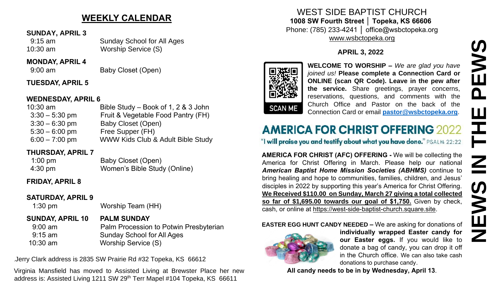# **WEEKLY CALENDAR**

#### **SUNDAY, APRIL 3**

 9:15 am Sunday School for All Ages 10:30 am Worship Service (S)

#### **MONDAY, APRIL 4**

9:00 am Baby Closet (Open)

## **TUESDAY, APRIL 5**

#### **WEDNESDAY, APRIL 6**

| $10:30$ am       | Bible Study – Book of 1, 2 & 3 John |
|------------------|-------------------------------------|
| $3:30 - 5:30$ pm | Fruit & Vegetable Food Pantry (FH)  |
| $3:30 - 6:30$ pm | Baby Closet (Open)                  |
| $5:30 - 6:00$ pm | Free Supper (FH)                    |
| $6:00 - 7:00$ pm | WWW Kids Club & Adult Bible Study   |
|                  |                                     |

## **THURSDAY, APRIL 7**

| $1:00$ pm         | Baby Closet (Open)           |
|-------------------|------------------------------|
| $4:30 \text{ pm}$ | Women's Bible Study (Online) |

## **FRIDAY, APRIL 8**

## **SATURDAY, APRIL 9**

1:30 pm Worship Team (HH)

# **SUNDAY, APRIL 10 PALM SUNDAY**

9:00 am **Palm Procession to Potwin Presbyterian**  9:15 am Sunday School for All Ages 10:30 am Worship Service (S)

.Jerry Clark address is 2835 SW Prairie Rd #32 Topeka, KS 66612

Virginia Mansfield has moved to Assisted Living at Brewster Place her new address is: Assisted Living 1211 SW 29<sup>th</sup> Terr Mapel #104 Topeka, KS 66611

WEST SIDE BAPTIST CHURCH **1008 SW Fourth Street │ Topeka, KS 66606** Phone: (785) 233-4241 │ office@wsbctopeka.org [www.wsbctopeka.org](http://www.wsbctopeka.org/)

# **APRIL 3, 2022**



**WELCOME TO WORSHIP –** *We are glad you have joined us!* **Please complete a Connection Card or ONLINE (scan QR Code). Leave in the pew after the service.** Share greetings, prayer concerns, reservations, questions, and comments with the Church Office and Pastor on the back of the Connection Card or email **[pastor@wsbctopeka.org](mailto:pastor@wsbctopeka.org)**.

**AMERICA FOR CHRIST (AFC) OFFERING -** We will be collecting the America for Christ Offering in March. Please help our national *American Baptist Home Mission Societies (ABHMS)* continue to bring healing and hope to communities, families, children, and Jesus' disciples in 2022 by supporting this year's America for Christ Offering. **We Received \$110.00 on Sunday, March 27 giving a total collected so far of \$1,695.00 towards our goal of \$1,750.** Given by check, cash, or online at [https://west-side-baptist-church.square.site.](https://west-side-baptist-church.square.site/) **APRIL 3, 2022**<br> **APRIL 3, 2022**<br> **APRIL 3, 2022**<br> **APRIL COMERT TO WORSHIP – We are glad you have**<br> **CONERT COMERT COMERT COMERT CONFIDENCE**<br> **CONERT CONERT CONERT CONEX (START CONEX TO BE in the service of the Schneetion** 

**EASTER EGG HUNT CANDY NEEDED –** We are asking for donations of



**individually wrapped Easter candy for our Easter eggs.** If you would like to donate a bag of candy, you can drop it off in the Church office. We can also take cash donations to purchase candy.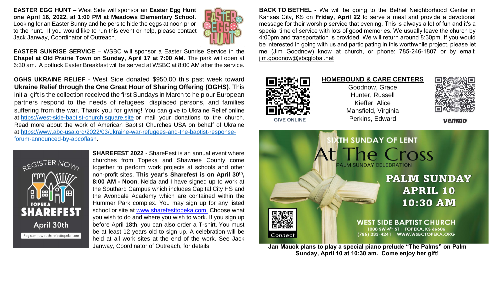**EASTER EGG HUNT** – West Side will sponsor an **Easter Egg Hunt one April 16, 2022, at 1:00 PM at Meadows Elementary School.**  Looking for an Easter Bunny and helpers to hide the eggs at noon prior to the hunt. If you would like to run this event or help, please contact Jack Janway, Coordinator of Outreach.



**EASTER SUNRISE SERVICE** – WSBC will sponsor a Easter Sunrise Service in the **Chapel at Old Prairie Town on Sunday, April 17 at 7:00 AM**. The park will open at 6:30 am. A potluck Easter Breakfast will be served at WSBC at 8:00 AM after the service.

**OGHS UKRAINE RELIEF** - West Side donated \$950.00 this past week toward **Ukraine Relief through the One Great Hour of Sharing Offering (OGHS)**. This initial gift is the collection received the first Sundays in March to help our European partners respond to the needs of refugees, displaced persons, and families suffering from the war. Thank you for giving! You can give to Ukraine Relief online at [https://west-side-baptist-church.square.site](https://west-side-baptist-church.square.site/) or mail your donations to the church. Read more about the work of American Baptist Churches USA on behalf of Ukraine at [https://www.abc-usa.org/2022/03/ukraine-war-refugees-and-the-baptist-response](https://www.abc-usa.org/2022/03/ukraine-war-refugees-and-the-baptist-response-forum-announced-by-abcoflash)[forum-announced-by-abcoflash.](https://www.abc-usa.org/2022/03/ukraine-war-refugees-and-the-baptist-response-forum-announced-by-abcoflash)



**SHAREFEST 2022** - ShareFest is an annual event where churches from Topeka and Shawnee County come together to perform work projects at schools and other non-profit sites. **This year's Sharefest is on April 30th , 8:00 AM - Noon**. Nelda and I have signed up to work at the Southard Campus which includes Capital City HS and the Avondale Academy which are contained within the Hummer Park complex. You may sign up for any listed school or site at [www.sharefesttopeka.com.](http://www.sharefesttopeka.com/) Choose what you wish to do and where you wish to work. If you sign up before April 18th, you can also order a T-shirt. You must be at least 12 years old to sign up. A celebration will be held at all work sites at the end of the work. See Jack Janway, Coordinator of Outreach, for details.

**BACK TO BETHEL** - We will be going to the Bethel Neighborhood Center in Kansas City, KS on **Friday, April 22** to serve a meal and provide a devotional message for their worship service that evening. This is always a lot of fun and it's a special time of service with lots of good memories. We usually leave the church by 4:00pm and transportation is provided. We will return around 8:30pm. If you would be interested in going with us and participating in this worthwhile project, please let me (Jim Goodnow) know at church, or phone: 785-246-1807 or by email: [jim.goodnow@sbcglobal.net](mailto:jim.goodnow@sbcglobal.net)





**Jan Mauck plans to play a special piano prelude "The Palms" on Palm Sunday, April 10 at 10:30 am. Come enjoy her gift!**